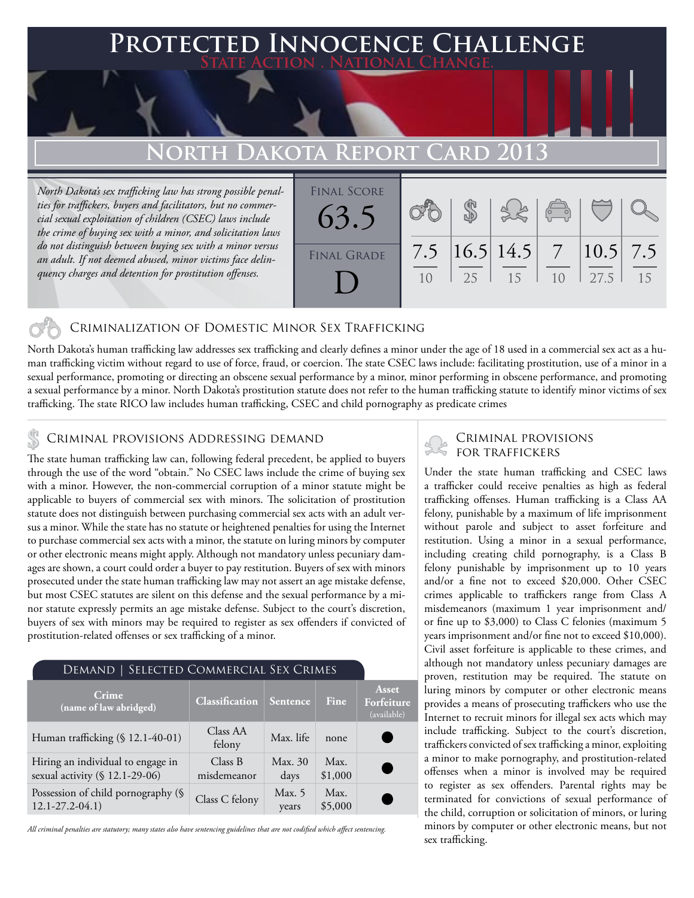### **FED INNOCENCE CHALLENGE State Action . National Change.**

# **North Dakota Report Card 2013**

*North Dakota's sex trafficking law has strong possible penalties for traffickers, buyers and facilitators, but no commercial sexual exploitation of children (CSEC) laws include the crime of buying sex with a minor, and solicitation laws do not distinguish between buying sex with a minor versus an adult. If not deemed abused, minor victims face delinquency charges and detention for prostitution offenses.*



### Criminalization of Domestic Minor Sex Trafficking

North Dakota's human trafficking law addresses sex trafficking and clearly defines a minor under the age of 18 used in a commercial sex act as a human trafficking victim without regard to use of force, fraud, or coercion. The state CSEC laws include: facilitating prostitution, use of a minor in a sexual performance, promoting or directing an obscene sexual performance by a minor, minor performing in obscene performance, and promoting a sexual performance by a minor. North Dakota's prostitution statute does not refer to the human trafficking statute to identify minor victims of sex trafficking. The state RICO law includes human trafficking, CSEC and child pornography as predicate crimes

### Criminal provisions Addressing demand

The state human trafficking law can, following federal precedent, be applied to buyers through the use of the word "obtain." No CSEC laws include the crime of buying sex with a minor. However, the non-commercial corruption of a minor statute might be applicable to buyers of commercial sex with minors. The solicitation of prostitution statute does not distinguish between purchasing commercial sex acts with an adult versus a minor. While the state has no statute or heightened penalties for using the Internet to purchase commercial sex acts with a minor, the statute on luring minors by computer or other electronic means might apply. Although not mandatory unless pecuniary damages are shown, a court could order a buyer to pay restitution. Buyers of sex with minors prosecuted under the state human trafficking law may not assert an age mistake defense, but most CSEC statutes are silent on this defense and the sexual performance by a minor statute expressly permits an age mistake defense. Subject to the court's discretion, buyers of sex with minors may be required to register as sex offenders if convicted of prostitution-related offenses or sex trafficking of a minor.

| DEMAND   SELECTED COMMERCIAL SEX CRIMES                             |                        |                 |                 |                                    |
|---------------------------------------------------------------------|------------------------|-----------------|-----------------|------------------------------------|
| Crime<br>(name of law abridged)                                     | <b>Classification</b>  | Sentence        | Fine            | Asset<br>Forfeiture<br>(available) |
| Human trafficking (§ 12.1-40-01)                                    | Class AA<br>felony     | Max. life       | none            |                                    |
| Hiring an individual to engage in<br>sexual activity (§ 12.1-29-06) | Class B<br>misdemeanor | Max. 30<br>days | Max.<br>\$1,000 |                                    |
| Possession of child pornography (§<br>$12.1 - 27.2 - 04.1$          | Class C felony         | Max. 5<br>years | Max.<br>\$5,000 |                                    |

*All criminal penalties are statutory; many states also have sentencing guidelines that are not codified which affect sentencing.* 

# Criminal provisions

Under the state human trafficking and CSEC laws a trafficker could receive penalties as high as federal trafficking offenses. Human trafficking is a Class AA felony, punishable by a maximum of life imprisonment without parole and subject to asset forfeiture and restitution. Using a minor in a sexual performance, including creating child pornography, is a Class B felony punishable by imprisonment up to 10 years and/or a fine not to exceed \$20,000. Other CSEC crimes applicable to traffickers range from Class A misdemeanors (maximum 1 year imprisonment and/ or fine up to \$3,000) to Class C felonies (maximum 5 years imprisonment and/or fine not to exceed \$10,000). Civil asset forfeiture is applicable to these crimes, and although not mandatory unless pecuniary damages are proven, restitution may be required. The statute on luring minors by computer or other electronic means provides a means of prosecuting traffickers who use the Internet to recruit minors for illegal sex acts which may include trafficking. Subject to the court's discretion, traffickers convicted of sex trafficking a minor, exploiting a minor to make pornography, and prostitution-related offenses when a minor is involved may be required to register as sex offenders. Parental rights may be terminated for convictions of sexual performance of the child, corruption or solicitation of minors, or luring minors by computer or other electronic means, but not sex trafficking.